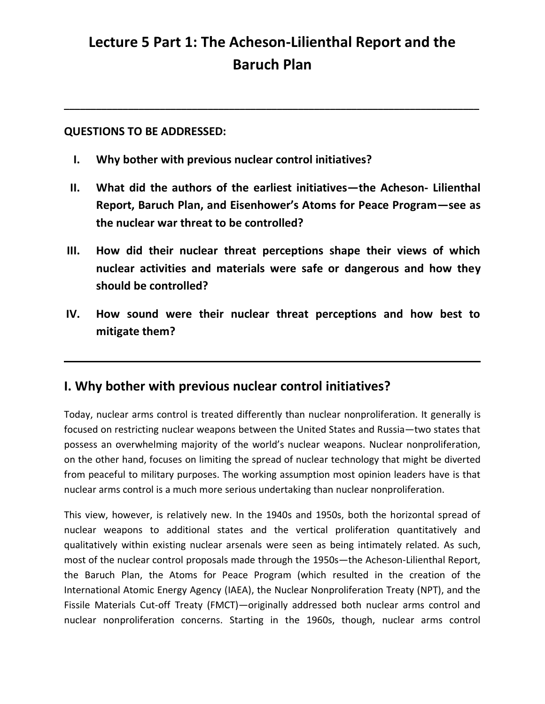# **Lecture 5 Part 1: The Acheson-Lilienthal Report and the Baruch Plan**

**\_\_\_\_\_\_\_\_\_\_\_\_\_\_\_\_\_\_\_\_\_\_\_\_\_\_\_\_\_\_\_\_\_\_\_\_\_\_\_\_\_\_\_\_\_\_\_\_\_\_\_\_\_\_\_\_\_\_\_\_\_\_\_\_\_\_\_\_\_\_\_\_\_\_\_\_\_\_**

## **QUESTIONS TO BE ADDRESSED:**

- **I. Why bother with previous nuclear control initiatives?**
- **II. What did the authors of the earliest initiatives—the Acheson- Lilienthal Report, Baruch Plan, and Eisenhower's Atoms for Peace Program—see as the nuclear war threat to be controlled?**
- **III. How did their nuclear threat perceptions shape their views of which nuclear activities and materials were safe or dangerous and how they should be controlled?**
- **IV. How sound were their nuclear threat perceptions and how best to mitigate them?**

# **I. Why bother with previous nuclear control initiatives?**

Today, nuclear arms control is treated differently than nuclear nonproliferation. It generally is focused on restricting nuclear weapons between the United States and Russia—two states that possess an overwhelming majority of the world's nuclear weapons. Nuclear nonproliferation, on the other hand, focuses on limiting the spread of nuclear technology that might be diverted from peaceful to military purposes. The working assumption most opinion leaders have is that nuclear arms control is a much more serious undertaking than nuclear nonproliferation.

This view, however, is relatively new. In the 1940s and 1950s, both the horizontal spread of nuclear weapons to additional states and the vertical proliferation quantitatively and qualitatively within existing nuclear arsenals were seen as being intimately related. As such, most of the nuclear control proposals made through the 1950s—the Acheson-Lilienthal Report, the Baruch Plan, the Atoms for Peace Program (which resulted in the creation of the International Atomic Energy Agency (IAEA), the Nuclear Nonproliferation Treaty (NPT), and the Fissile Materials Cut-off Treaty (FMCT)—originally addressed both nuclear arms control and nuclear nonproliferation concerns. Starting in the 1960s, though, nuclear arms control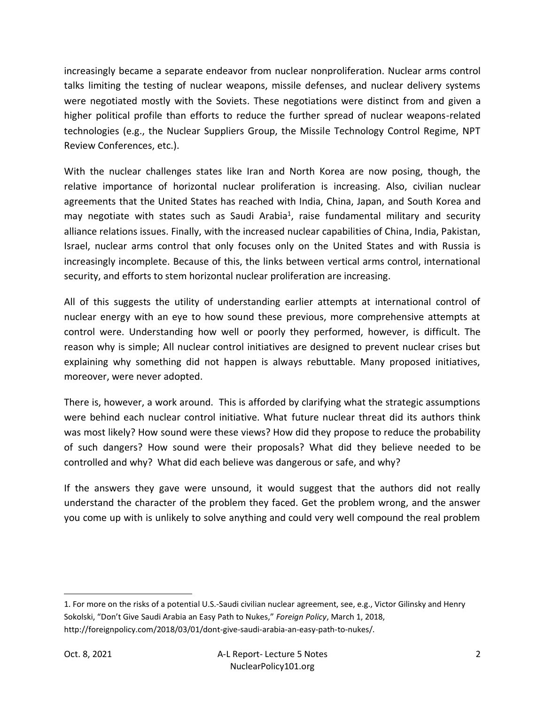increasingly became a separate endeavor from nuclear nonproliferation. Nuclear arms control talks limiting the testing of nuclear weapons, missile defenses, and nuclear delivery systems were negotiated mostly with the Soviets. These negotiations were distinct from and given a higher political profile than efforts to reduce the further spread of nuclear weapons-related technologies (e.g., the Nuclear Suppliers Group, the Missile Technology Control Regime, NPT Review Conferences, etc.).

With the nuclear challenges states like Iran and North Korea are now posing, though, the relative importance of horizontal nuclear proliferation is increasing. Also, civilian nuclear agreements that the United States has reached with India, China, Japan, and South Korea and may negotiate with states such as Saudi Arabia<sup>1</sup>, raise fundamental military and security alliance relations issues. Finally, with the increased nuclear capabilities of China, India, Pakistan, Israel, nuclear arms control that only focuses only on the United States and with Russia is increasingly incomplete. Because of this, the links between vertical arms control, international security, and efforts to stem horizontal nuclear proliferation are increasing.

All of this suggests the utility of understanding earlier attempts at international control of nuclear energy with an eye to how sound these previous, more comprehensive attempts at control were. Understanding how well or poorly they performed, however, is difficult. The reason why is simple; All nuclear control initiatives are designed to prevent nuclear crises but explaining why something did not happen is always rebuttable. Many proposed initiatives, moreover, were never adopted.

There is, however, a work around. This is afforded by clarifying what the strategic assumptions were behind each nuclear control initiative. What future nuclear threat did its authors think was most likely? How sound were these views? How did they propose to reduce the probability of such dangers? How sound were their proposals? What did they believe needed to be controlled and why? What did each believe was dangerous or safe, and why?

If the answers they gave were unsound, it would suggest that the authors did not really understand the character of the problem they faced. Get the problem wrong, and the answer you come up with is unlikely to solve anything and could very well compound the real problem

<sup>1.</sup> For more on the risks of a potential U.S.-Saudi civilian nuclear agreement, see, e.g., Victor Gilinsky and Henry Sokolski, "Don't Give Saudi Arabia an Easy Path to Nukes," *Foreign Policy*, March 1, 2018, http://foreignpolicy.com/2018/03/01/dont-give-saudi-arabia-an-easy-path-to-nukes/.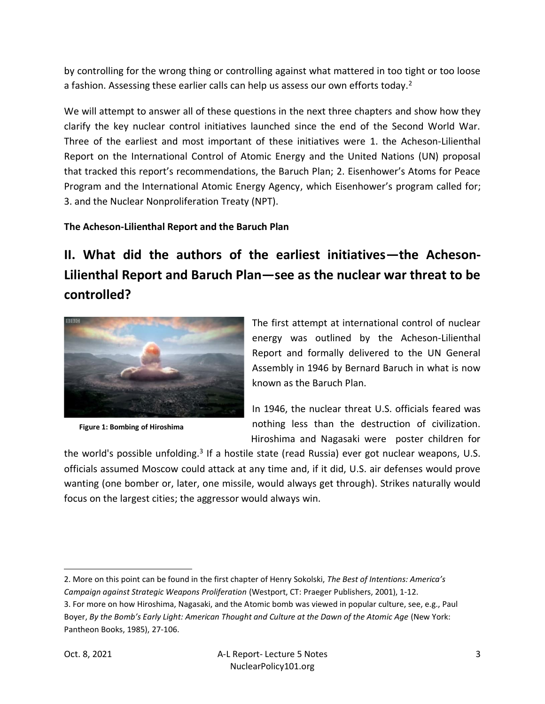by controlling for the wrong thing or controlling against what mattered in too tight or too loose a fashion. Assessing these earlier calls can help us assess our own efforts today.<sup>2</sup>

We will attempt to answer all of these questions in the next three chapters and show how they clarify the key nuclear control initiatives launched since the end of the Second World War. Three of the earliest and most important of these initiatives were 1. the Acheson-Lilienthal Report on the International Control of Atomic Energy and the United Nations (UN) proposal that tracked this report's recommendations, the Baruch Plan; 2. Eisenhower's Atoms for Peace Program and the International Atomic Energy Agency, which Eisenhower's program called for; 3. and the Nuclear Nonproliferation Treaty (NPT).

### **The Acheson-Lilienthal Report and the Baruch Plan**

**II. What did the authors of the earliest initiatives—the Acheson-Lilienthal Report and Baruch Plan—see as the nuclear war threat to be controlled?**



**Figure 1: Bombing of Hiroshima**

The first attempt at international control of nuclear energy was outlined by the Acheson-Lilienthal Report and formally delivered to the UN General Assembly in 1946 by Bernard Baruch in what is now known as the Baruch Plan.

In 1946, the nuclear threat U.S. officials feared was nothing less than the destruction of civilization. Hiroshima and Nagasaki were poster children for

the world's possible unfolding.<sup>3</sup> If a hostile state (read Russia) ever got nuclear weapons, U.S. officials assumed Moscow could attack at any time and, if it did, U.S. air defenses would prove wanting (one bomber or, later, one missile, would always get through). Strikes naturally would focus on the largest cities; the aggressor would always win.

2. More on this point can be found in the first chapter of Henry Sokolski, *The Best of Intentions: America's Campaign against Strategic Weapons Proliferation* (Westport, CT: Praeger Publishers, 2001), 1-12.

3. For more on how Hiroshima, Nagasaki, and the Atomic bomb was viewed in popular culture, see, e.g., Paul Boyer, *By the Bomb's Early Light: American Thought and Culture at the Dawn of the Atomic Age* (New York: Pantheon Books, 1985), 27-106.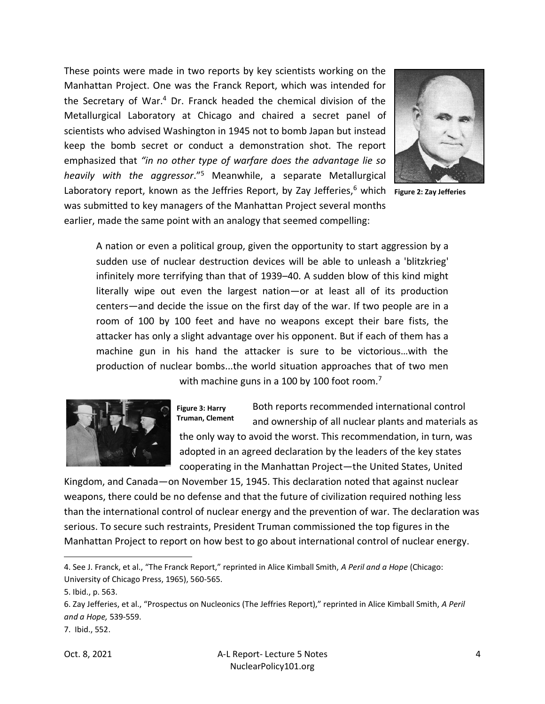Laboratory report, known as the Jeffries Report, by Zay Jefferies,<sup>6</sup> which Figure 2: Zay Jefferies These points were made in two reports by key scientists working on the Manhattan Project. One was the Franck Report, which was intended for the Secretary of War.<sup>4</sup> Dr. Franck headed the chemical division of the Metallurgical Laboratory at Chicago and chaired a secret panel of scientists who advised Washington in 1945 not to bomb Japan but instead keep the bomb secret or conduct a demonstration shot. The report emphasized that *"in no other type of warfare does the advantage lie so heavily with the aggressor*."<sup>5</sup> Meanwhile, a separate Metallurgical was submitted to key managers of the Manhattan Project several months earlier, made the same point with an analogy that seemed compelling:



A nation or even a political group, given the opportunity to start aggression by a sudden use of nuclear destruction devices will be able to unleash a 'blitzkrieg' infinitely more terrifying than that of 1939–40. A sudden blow of this kind might literally wipe out even the largest nation—or at least all of its production centers—and decide the issue on the first day of the war. If two people are in a room of 100 by 100 feet and have no weapons except their bare fists, the attacker has only a slight advantage over his opponent. But if each of them has a machine gun in his hand the attacker is sure to be victorious…with the production of nuclear bombs...the world situation approaches that of two men with machine guns in a 100 by 100 foot room.<sup>7</sup>



Both reports recommended international control and ownership of all nuclear plants and materials as the only way to avoid the worst. This recommendation, in turn, was adopted in an agreed declaration by the leaders of the key states cooperating in the Manhattan Project—the United States, United **Figure 3: Harry Truman, Clement**  the only wa

Kingdom, and Canada—on November 15, 1945. This declaration noted that against nuclear weapons, there could be no defense and that the future of civilization required nothing less than the international control of nuclear energy and the prevention of war. The declaration was serious. To secure such restraints, President Truman commissioned the top figures in the Manhattan Project to report on how best to go about international control of nuclear energy.

<sup>4</sup>. See J. Franck, et al., "The Franck Report," reprinted in Alice Kimball Smith, *A Peril and a Hope* (Chicago: University of Chicago Press, 1965), 560-565.

<sup>5.</sup> Ibid., p. 563.

<sup>6</sup>. Zay Jefferies, et al., "Prospectus on Nucleonics (The Jeffries Report)," reprinted in Alice Kimball Smith, *A Peril and a Hope,* 539-559.

<sup>7.</sup> Ibid., 552.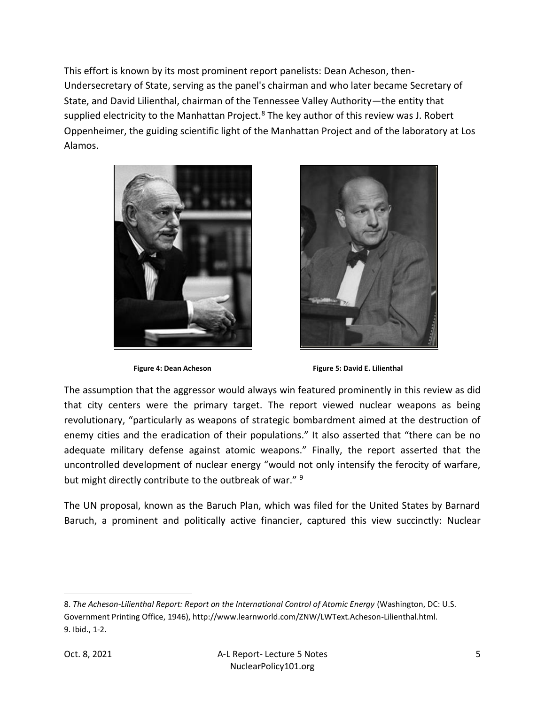This effort is known by its most prominent report panelists: Dean Acheson, then-Undersecretary of State, serving as the panel's chairman and who later became Secretary of State, and David Lilienthal, chairman of the Tennessee Valley Authority—the entity that supplied electricity to the Manhattan Project. $8$  The key author of this review was J. Robert Oppenheimer, the guiding scientific light of the Manhattan Project and of the laboratory at Los Alamos.





**Figure 4: Dean Acheson Figure 5: David E. Lilienthal** 

The assumption that the aggressor would always win featured prominently in this review as did that city centers were the primary target. The report viewed nuclear weapons as being revolutionary, "particularly as weapons of strategic bombardment aimed at the destruction of enemy cities and the eradication of their populations." It also asserted that "there can be no adequate military defense against atomic weapons." Finally, the report asserted that the uncontrolled development of nuclear energy "would not only intensify the ferocity of warfare, but might directly contribute to the outbreak of war." <sup>9</sup>

The UN proposal, known as the Baruch Plan, which was filed for the United States by Barnard Baruch, a prominent and politically active financier, captured this view succinctly: Nuclear

<sup>8.</sup> *The Acheson-Lilienthal Report: Report on the International Control of Atomic Energy* (Washington, DC: U.S. Government Printing Office, 1946), http://www.learnworld.com/ZNW/LWText.Acheson-Lilienthal.html. 9. Ibid., 1-2.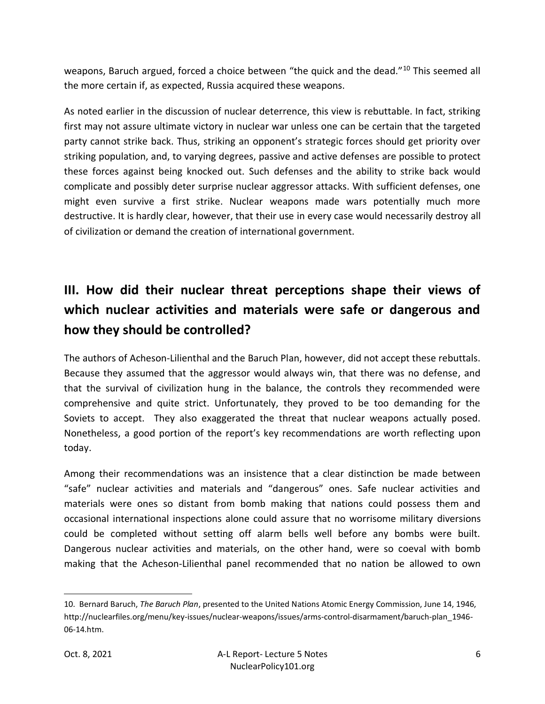weapons, Baruch argued, forced a choice between "the quick and the dead."<sup>10</sup> This seemed all the more certain if, as expected, Russia acquired these weapons.

As noted earlier in the discussion of nuclear deterrence, this view is rebuttable. In fact, striking first may not assure ultimate victory in nuclear war unless one can be certain that the targeted party cannot strike back. Thus, striking an opponent's strategic forces should get priority over striking population, and, to varying degrees, passive and active defenses are possible to protect these forces against being knocked out. Such defenses and the ability to strike back would complicate and possibly deter surprise nuclear aggressor attacks. With sufficient defenses, one might even survive a first strike. Nuclear weapons made wars potentially much more destructive. It is hardly clear, however, that their use in every case would necessarily destroy all of civilization or demand the creation of international government.

# **III. How did their nuclear threat perceptions shape their views of which nuclear activities and materials were safe or dangerous and how they should be controlled?**

The authors of Acheson-Lilienthal and the Baruch Plan, however, did not accept these rebuttals. Because they assumed that the aggressor would always win, that there was no defense, and that the survival of civilization hung in the balance, the controls they recommended were comprehensive and quite strict. Unfortunately, they proved to be too demanding for the Soviets to accept. They also exaggerated the threat that nuclear weapons actually posed. Nonetheless, a good portion of the report's key recommendations are worth reflecting upon today.

Among their recommendations was an insistence that a clear distinction be made between "safe" nuclear activities and materials and "dangerous" ones. Safe nuclear activities and materials were ones so distant from bomb making that nations could possess them and occasional international inspections alone could assure that no worrisome military diversions could be completed without setting off alarm bells well before any bombs were built. Dangerous nuclear activities and materials, on the other hand, were so coeval with bomb making that the Acheson-Lilienthal panel recommended that no nation be allowed to own

<sup>10.</sup> Bernard Baruch, *The Baruch Plan*, presented to the United Nations Atomic Energy Commission, June 14, 1946, http://nuclearfiles.org/menu/key-issues/nuclear-weapons/issues/arms-control-disarmament/baruch-plan\_1946- 06-14.htm.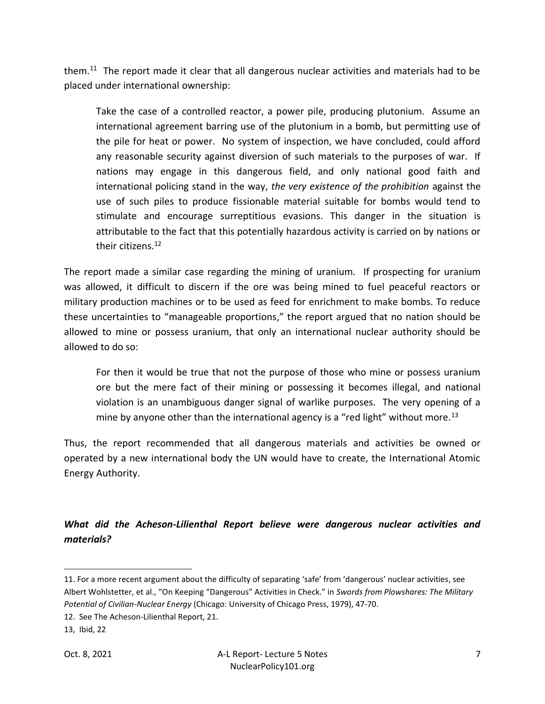them.<sup>11</sup> The report made it clear that all dangerous nuclear activities and materials had to be placed under international ownership:

Take the case of a controlled reactor, a power pile, producing plutonium. Assume an international agreement barring use of the plutonium in a bomb, but permitting use of the pile for heat or power. No system of inspection, we have concluded, could afford any reasonable security against diversion of such materials to the purposes of war. If nations may engage in this dangerous field, and only national good faith and international policing stand in the way, *the very existence of the prohibition* against the use of such piles to produce fissionable material suitable for bombs would tend to stimulate and encourage surreptitious evasions. This danger in the situation is attributable to the fact that this potentially hazardous activity is carried on by nations or their citizens.<sup>12</sup>

The report made a similar case regarding the mining of uranium. If prospecting for uranium was allowed, it difficult to discern if the ore was being mined to fuel peaceful reactors or military production machines or to be used as feed for enrichment to make bombs. To reduce these uncertainties to "manageable proportions," the report argued that no nation should be allowed to mine or possess uranium, that only an international nuclear authority should be allowed to do so:

For then it would be true that not the purpose of those who mine or possess uranium ore but the mere fact of their mining or possessing it becomes illegal, and national violation is an unambiguous danger signal of warlike purposes. The very opening of a mine by anyone other than the international agency is a "red light" without more.<sup>13</sup>

Thus, the report recommended that all dangerous materials and activities be owned or operated by a new international body the UN would have to create, the International Atomic Energy Authority.

## *What did the Acheson-Lilienthal Report believe were dangerous nuclear activities and materials?*

<sup>11.</sup> For a more recent argument about the difficulty of separating 'safe' from 'dangerous' nuclear activities, see Albert Wohlstetter, et al., "On Keeping "Dangerous" Activities in Check." in *Swords from Plowshares: The Military Potential of Civilian-Nuclear Energy* (Chicago: University of Chicago Press, 1979), 47-70.

<sup>12.</sup> See The Acheson-Lilienthal Report, 21.

<sup>13,</sup> Ibid, 22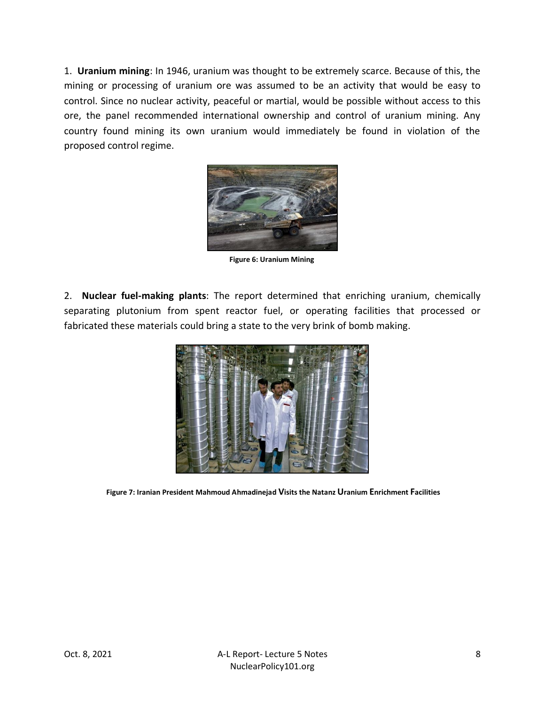1. **Uranium mining**: In 1946, uranium was thought to be extremely scarce. Because of this, the mining or processing of uranium ore was assumed to be an activity that would be easy to control. Since no nuclear activity, peaceful or martial, would be possible without access to this ore, the panel recommended international ownership and control of uranium mining. Any country found mining its own uranium would immediately be found in violation of the proposed control regime.



**Figure 6: Uranium Mining**

2. **Nuclear fuel-making plants**: The report determined that enriching uranium, chemically separating plutonium from spent reactor fuel, or operating facilities that processed or fabricated these materials could bring a state to the very brink of bomb making.



**Figure 7: Iranian President Mahmoud Ahmadinejad Visits the Natanz Uranium Enrichment Facilities**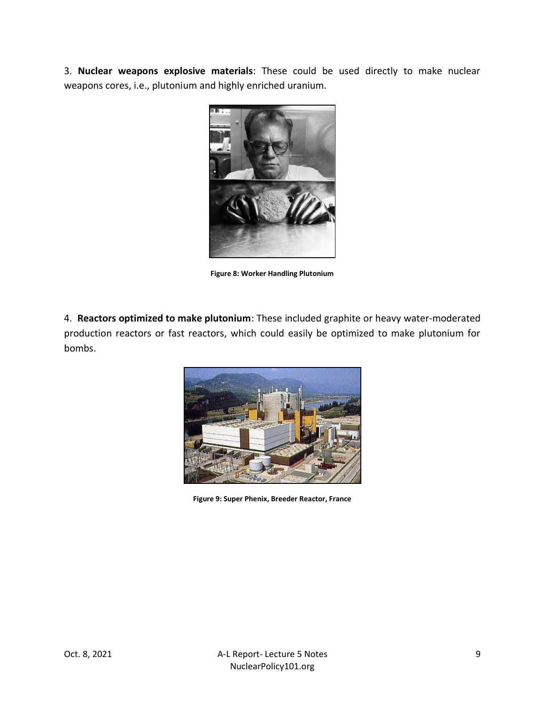3. **Nuclear weapons explosive materials**: These could be used directly to make nuclear weapons cores, i.e., plutonium and highly enriched uranium.



**Figure 8: Worker Handling Plutonium**

4. **Reactors optimized to make plutonium**: These included graphite or heavy water-moderated production reactors or fast reactors, which could easily be optimized to make plutonium for bombs.



**Figure 9: Super Phenix, Breeder Reactor, France**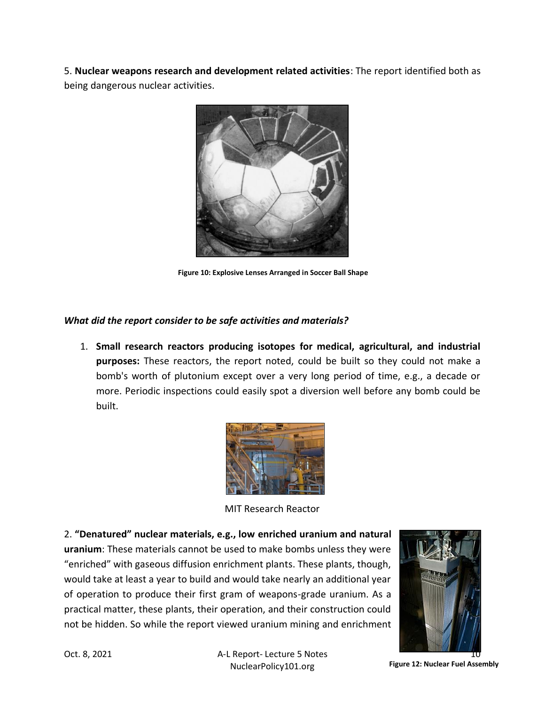5. **Nuclear weapons research and development related activities**: The report identified both as being dangerous nuclear activities.



**Figure 10: Explosive Lenses Arranged in Soccer Ball Shape**

### *What did the report consider to be safe activities and materials?*

1. **Small research reactors producing isotopes for medical, agricultural, and industrial purposes:** These reactors, the report noted, could be built so they could not make a bomb's worth of plutonium except over a very long period of time, e.g., a decade or more. Periodic inspections could easily spot a diversion well before any bomb could be built.



MIT Research Reactor

2. **"Denatured" nuclear materials, e.g., low enriched uranium and natural uranium**: These materials cannot be used to make bombs unless they were "enriched" with gaseous diffusion enrichment plants. These plants, though, would take at least a year to build and would take nearly an additional year of operation to produce their first gram of weapons-grade uranium. As a practical matter, these plants, their operation, and their construction could not be hidden. So while the report viewed uranium mining and enrichment



Oct. 8, 2021 **A-L Report- Lecture 5 Notes** NuclearPolicy101.org

**Figure 12: Nuclear Fuel Assembly**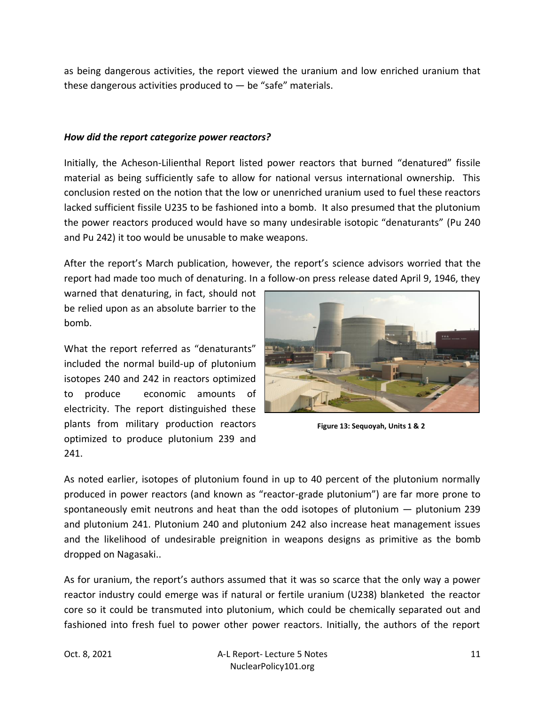as being dangerous activities, the report viewed the uranium and low enriched uranium that these dangerous activities produced to  $-$  be "safe" materials.

#### *How did the report categorize power reactors?*

Initially, the Acheson-Lilienthal Report listed power reactors that burned "denatured" fissile material as being sufficiently safe to allow for national versus international ownership. This conclusion rested on the notion that the low or unenriched uranium used to fuel these reactors lacked sufficient fissile U235 to be fashioned into a bomb. It also presumed that the plutonium the power reactors produced would have so many undesirable isotopic "denaturants" (Pu 240 and Pu 242) it too would be unusable to make weapons.

After the report's March publication, however, the report's science advisors worried that the report had made too much of denaturing. In a follow-on press release dated April 9, 1946, they

warned that denaturing, in fact, should not be relied upon as an absolute barrier to the bomb.

What the report referred as "denaturants" included the normal build-up of plutonium isotopes 240 and 242 in reactors optimized to produce economic amounts of electricity. The report distinguished these plants from military production reactors optimized to produce plutonium 239 and 241.



**Figure 13: Sequoyah, Units 1 & 2**

As noted earlier, isotopes of plutonium found in up to 40 percent of the plutonium normally produced in power reactors (and known as "reactor-grade plutonium") are far more prone to spontaneously emit neutrons and heat than the odd isotopes of plutonium  $-$  plutonium 239 and plutonium 241. Plutonium 240 and plutonium 242 also increase heat management issues and the likelihood of undesirable preignition in weapons designs as primitive as the bomb dropped on Nagasaki..

As for uranium, the report's authors assumed that it was so scarce that the only way a power reactor industry could emerge was if natural or fertile uranium (U238) blanketed the reactor core so it could be transmuted into plutonium, which could be chemically separated out and fashioned into fresh fuel to power other power reactors. Initially, the authors of the report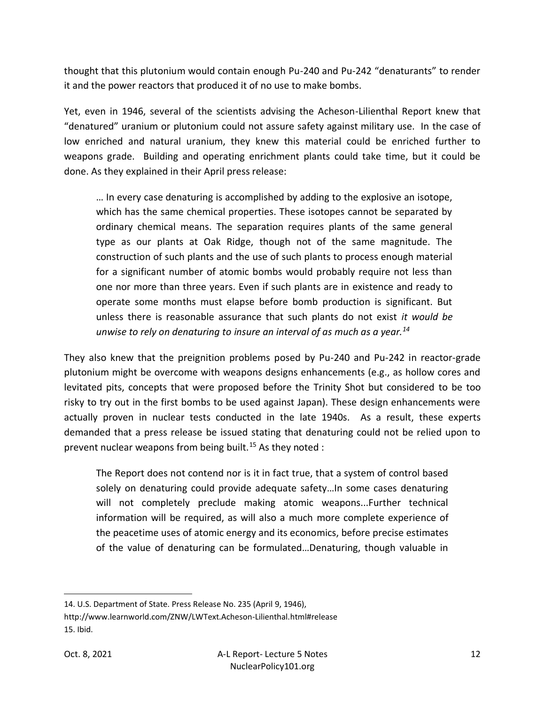thought that this plutonium would contain enough Pu-240 and Pu-242 "denaturants" to render it and the power reactors that produced it of no use to make bombs.

Yet, even in 1946, several of the scientists advising the Acheson-Lilienthal Report knew that "denatured" uranium or plutonium could not assure safety against military use. In the case of low enriched and natural uranium, they knew this material could be enriched further to weapons grade. Building and operating enrichment plants could take time, but it could be done. As they explained in their April press release:

… In every case denaturing is accomplished by adding to the explosive an isotope, which has the same chemical properties. These isotopes cannot be separated by ordinary chemical means. The separation requires plants of the same general type as our plants at Oak Ridge, though not of the same magnitude. The construction of such plants and the use of such plants to process enough material for a significant number of atomic bombs would probably require not less than one nor more than three years. Even if such plants are in existence and ready to operate some months must elapse before bomb production is significant. But unless there is reasonable assurance that such plants do not exist *it would be unwise to rely on denaturing to insure an interval of as much as a year.<sup>14</sup>*

They also knew that the preignition problems posed by Pu-240 and Pu-242 in reactor-grade plutonium might be overcome with weapons designs enhancements (e.g., as hollow cores and levitated pits, concepts that were proposed before the Trinity Shot but considered to be too risky to try out in the first bombs to be used against Japan). These design enhancements were actually proven in nuclear tests conducted in the late 1940s. As a result, these experts demanded that a press release be issued stating that denaturing could not be relied upon to prevent nuclear weapons from being built.<sup>15</sup> As they noted :

The Report does not contend nor is it in fact true, that a system of control based solely on denaturing could provide adequate safety...In some cases denaturing will not completely preclude making atomic weapons...Further technical information will be required, as will also a much more complete experience of the peacetime uses of atomic energy and its economics, before precise estimates of the value of denaturing can be formulated…Denaturing, though valuable in

<sup>14.</sup> U.S. Department of State. Press Release No. 235 (April 9, 1946),

http://www.learnworld.com/ZNW/LWText.Acheson-Lilienthal.html#release 15. Ibid.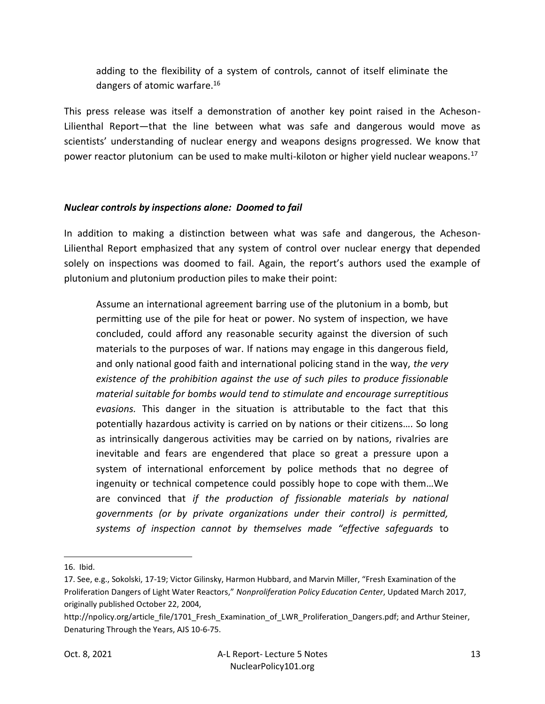adding to the flexibility of a system of controls, cannot of itself eliminate the dangers of atomic warfare.<sup>16</sup>

This press release was itself a demonstration of another key point raised in the Acheson-Lilienthal Report—that the line between what was safe and dangerous would move as scientists' understanding of nuclear energy and weapons designs progressed. We know that power reactor plutonium can be used to make multi-kiloton or higher yield nuclear weapons.<sup>17</sup>

#### *Nuclear controls by inspections alone: Doomed to fail*

In addition to making a distinction between what was safe and dangerous, the Acheson-Lilienthal Report emphasized that any system of control over nuclear energy that depended solely on inspections was doomed to fail. Again, the report's authors used the example of plutonium and plutonium production piles to make their point:

Assume an international agreement barring use of the plutonium in a bomb, but permitting use of the pile for heat or power. No system of inspection, we have concluded, could afford any reasonable security against the diversion of such materials to the purposes of war. If nations may engage in this dangerous field, and only national good faith and international policing stand in the way, *the very existence of the prohibition against the use of such piles to produce fissionable material suitable for bombs would tend to stimulate and encourage surreptitious evasions.* This danger in the situation is attributable to the fact that this potentially hazardous activity is carried on by nations or their citizens…. So long as intrinsically dangerous activities may be carried on by nations, rivalries are inevitable and fears are engendered that place so great a pressure upon a system of international enforcement by police methods that no degree of ingenuity or technical competence could possibly hope to cope with them…We are convinced that *if the production of fissionable materials by national governments (or by private organizations under their control) is permitted, systems of inspection cannot by themselves made "effective safeguards* to

<sup>16.</sup> Ibid.

<sup>17.</sup> See, e.g., Sokolski, 17-19; Victor Gilinsky, Harmon Hubbard, and Marvin Miller, "Fresh Examination of the Proliferation Dangers of Light Water Reactors," *Nonproliferation Policy Education Center*, Updated March 2017, originally published October 22, 2004,

http://npolicy.org/article\_file/1701\_Fresh\_Examination\_of\_LWR\_Proliferation\_Dangers.pdf; and Arthur Steiner, Denaturing Through the Years, AJS 10-6-75.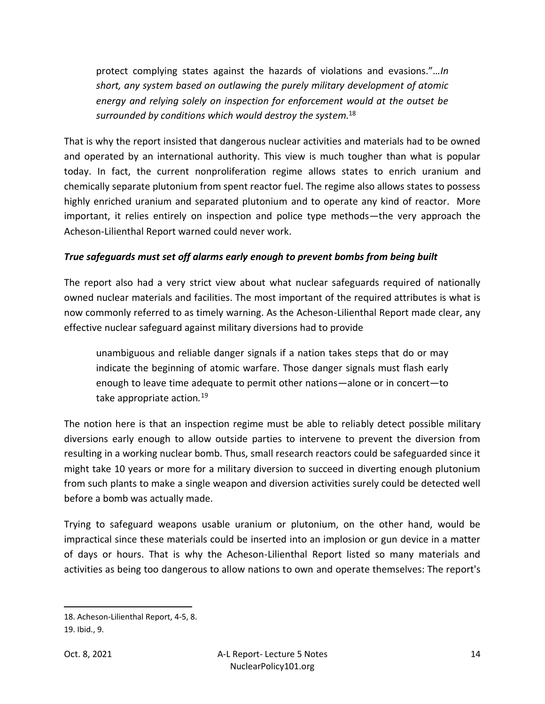protect complying states against the hazards of violations and evasions."*…In short, any system based on outlawing the purely military development of atomic energy and relying solely on inspection for enforcement would at the outset be surrounded by conditions which would destroy the system.*<sup>18</sup>

That is why the report insisted that dangerous nuclear activities and materials had to be owned and operated by an international authority. This view is much tougher than what is popular today. In fact, the current nonproliferation regime allows states to enrich uranium and chemically separate plutonium from spent reactor fuel. The regime also allows states to possess highly enriched uranium and separated plutonium and to operate any kind of reactor. More important, it relies entirely on inspection and police type methods—the very approach the Acheson-Lilienthal Report warned could never work.

#### *True safeguards must set off alarms early enough to prevent bombs from being built*

The report also had a very strict view about what nuclear safeguards required of nationally owned nuclear materials and facilities. The most important of the required attributes is what is now commonly referred to as timely warning. As the Acheson-Lilienthal Report made clear, any effective nuclear safeguard against military diversions had to provide

unambiguous and reliable danger signals if a nation takes steps that do or may indicate the beginning of atomic warfare. Those danger signals must flash early enough to leave time adequate to permit other nations—alone or in concert—to take appropriate action*.* 19

The notion here is that an inspection regime must be able to reliably detect possible military diversions early enough to allow outside parties to intervene to prevent the diversion from resulting in a working nuclear bomb. Thus, small research reactors could be safeguarded since it might take 10 years or more for a military diversion to succeed in diverting enough plutonium from such plants to make a single weapon and diversion activities surely could be detected well before a bomb was actually made.

Trying to safeguard weapons usable uranium or plutonium, on the other hand, would be impractical since these materials could be inserted into an implosion or gun device in a matter of days or hours. That is why the Acheson-Lilienthal Report listed so many materials and activities as being too dangerous to allow nations to own and operate themselves: The report's

<sup>18.</sup> Acheson-Lilienthal Report, 4-5, 8.

<sup>19.</sup> Ibid., 9.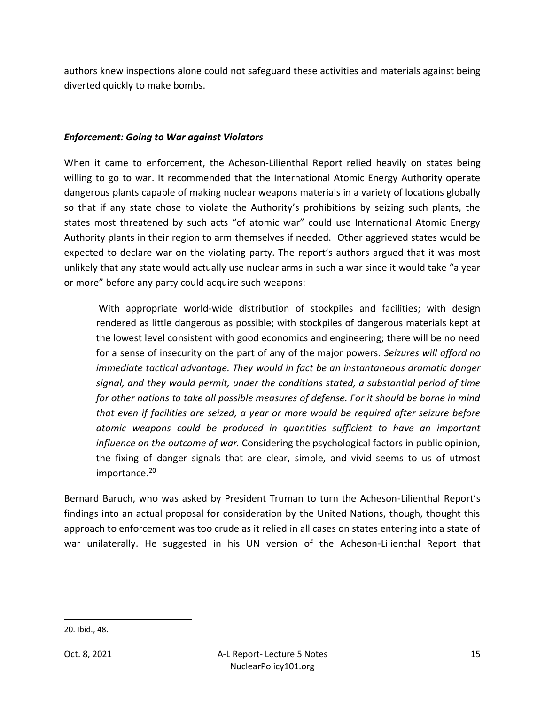authors knew inspections alone could not safeguard these activities and materials against being diverted quickly to make bombs.

#### *Enforcement: Going to War against Violators*

When it came to enforcement, the Acheson-Lilienthal Report relied heavily on states being willing to go to war. It recommended that the International Atomic Energy Authority operate dangerous plants capable of making nuclear weapons materials in a variety of locations globally so that if any state chose to violate the Authority's prohibitions by seizing such plants, the states most threatened by such acts "of atomic war" could use International Atomic Energy Authority plants in their region to arm themselves if needed. Other aggrieved states would be expected to declare war on the violating party. The report's authors argued that it was most unlikely that any state would actually use nuclear arms in such a war since it would take "a year or more" before any party could acquire such weapons:

With appropriate world-wide distribution of stockpiles and facilities; with design rendered as little dangerous as possible; with stockpiles of dangerous materials kept at the lowest level consistent with good economics and engineering; there will be no need for a sense of insecurity on the part of any of the major powers. *Seizures will afford no immediate tactical advantage. They would in fact be an instantaneous dramatic danger signal, and they would permit, under the conditions stated, a substantial period of time for other nations to take all possible measures of defense. For it should be borne in mind that even if facilities are seized, a year or more would be required after seizure before atomic weapons could be produced in quantities sufficient to have an important influence on the outcome of war.* Considering the psychological factors in public opinion, the fixing of danger signals that are clear, simple, and vivid seems to us of utmost importance.<sup>20</sup>

Bernard Baruch, who was asked by President Truman to turn the Acheson-Lilienthal Report's findings into an actual proposal for consideration by the United Nations, though, thought this approach to enforcement was too crude as it relied in all cases on states entering into a state of war unilaterally. He suggested in his UN version of the Acheson-Lilienthal Report that

<sup>20.</sup> Ibid., 48.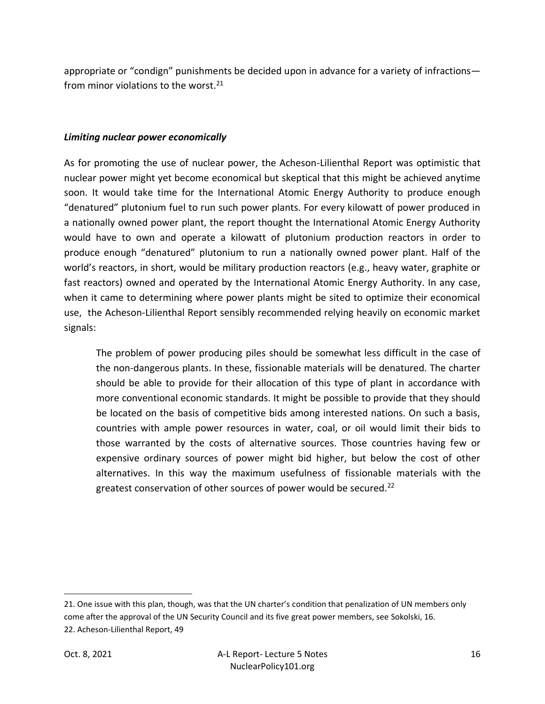appropriate or "condign" punishments be decided upon in advance for a variety of infractions from minor violations to the worst.<sup>21</sup>

#### *Limiting nuclear power economically*

As for promoting the use of nuclear power, the Acheson-Lilienthal Report was optimistic that nuclear power might yet become economical but skeptical that this might be achieved anytime soon. It would take time for the International Atomic Energy Authority to produce enough "denatured" plutonium fuel to run such power plants. For every kilowatt of power produced in a nationally owned power plant, the report thought the International Atomic Energy Authority would have to own and operate a kilowatt of plutonium production reactors in order to produce enough "denatured" plutonium to run a nationally owned power plant. Half of the world's reactors, in short, would be military production reactors (e.g., heavy water, graphite or fast reactors) owned and operated by the International Atomic Energy Authority. In any case, when it came to determining where power plants might be sited to optimize their economical use, the Acheson-Lilienthal Report sensibly recommended relying heavily on economic market signals:

The problem of power producing piles should be somewhat less difficult in the case of the non-dangerous plants. In these, fissionable materials will be denatured. The charter should be able to provide for their allocation of this type of plant in accordance with more conventional economic standards. It might be possible to provide that they should be located on the basis of competitive bids among interested nations. On such a basis, countries with ample power resources in water, coal, or oil would limit their bids to those warranted by the costs of alternative sources. Those countries having few or expensive ordinary sources of power might bid higher, but below the cost of other alternatives. In this way the maximum usefulness of fissionable materials with the greatest conservation of other sources of power would be secured.<sup>22</sup>

<sup>21</sup>. One issue with this plan, though, was that the UN charter's condition that penalization of UN members only come after the approval of the UN Security Council and its five great power members, see Sokolski, 16. 22. Acheson-Lilienthal Report, 49